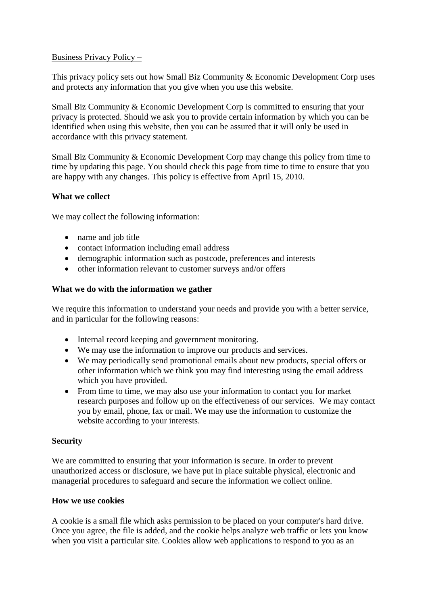# Business Privacy Policy –

This privacy policy sets out how Small Biz Community & Economic Development Corp uses and protects any information that you give when you use this website.

Small Biz Community & Economic Development Corp is committed to ensuring that your privacy is protected. Should we ask you to provide certain information by which you can be identified when using this website, then you can be assured that it will only be used in accordance with this privacy statement.

Small Biz Community & Economic Development Corp may change this policy from time to time by updating this page. You should check this page from time to time to ensure that you are happy with any changes. This policy is effective from April 15, 2010.

## **What we collect**

We may collect the following information:

- name and job title
- contact information including email address
- demographic information such as postcode, preferences and interests
- other information relevant to customer surveys and/or offers

#### **What we do with the information we gather**

We require this information to understand your needs and provide you with a better service, and in particular for the following reasons:

- Internal record keeping and government monitoring.
- We may use the information to improve our products and services.
- We may periodically send promotional emails about new products, special offers or other information which we think you may find interesting using the email address which you have provided.
- From time to time, we may also use your information to contact you for market research purposes and follow up on the effectiveness of our services. We may contact you by email, phone, fax or mail. We may use the information to customize the website according to your interests.

#### **Security**

We are committed to ensuring that your information is secure. In order to prevent unauthorized access or disclosure, we have put in place suitable physical, electronic and managerial procedures to safeguard and secure the information we collect online.

#### **How we use cookies**

A cookie is a small file which asks permission to be placed on your computer's hard drive. Once you agree, the file is added, and the cookie helps analyze web traffic or lets you know when you visit a particular site. Cookies allow web applications to respond to you as an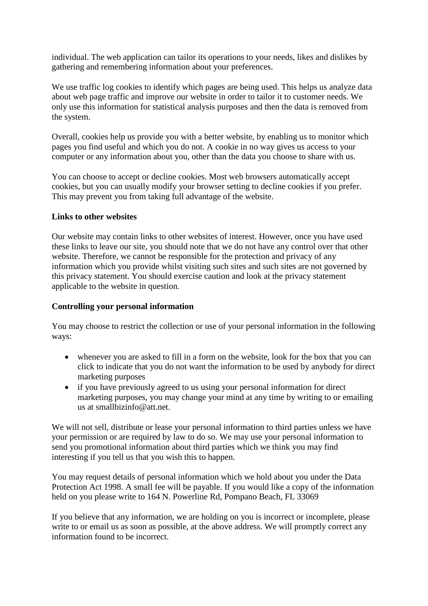individual. The web application can tailor its operations to your needs, likes and dislikes by gathering and remembering information about your preferences.

We use traffic log cookies to identify which pages are being used. This helps us analyze data about web page traffic and improve our website in order to tailor it to customer needs. We only use this information for statistical analysis purposes and then the data is removed from the system.

Overall, cookies help us provide you with a better website, by enabling us to monitor which pages you find useful and which you do not. A cookie in no way gives us access to your computer or any information about you, other than the data you choose to share with us.

You can choose to accept or decline cookies. Most web browsers automatically accept cookies, but you can usually modify your browser setting to decline cookies if you prefer. This may prevent you from taking full advantage of the website.

#### **Links to other websites**

Our website may contain links to other websites of interest. However, once you have used these links to leave our site, you should note that we do not have any control over that other website. Therefore, we cannot be responsible for the protection and privacy of any information which you provide whilst visiting such sites and such sites are not governed by this privacy statement. You should exercise caution and look at the privacy statement applicable to the website in question.

# **Controlling your personal information**

You may choose to restrict the collection or use of your personal information in the following ways:

- whenever you are asked to fill in a form on the website, look for the box that you can click to indicate that you do not want the information to be used by anybody for direct marketing purposes
- if you have previously agreed to us using your personal information for direct marketing purposes, you may change your mind at any time by writing to or emailing us at smallbizinfo@att.net.

We will not sell, distribute or lease your personal information to third parties unless we have your permission or are required by law to do so. We may use your personal information to send you promotional information about third parties which we think you may find interesting if you tell us that you wish this to happen.

You may request details of personal information which we hold about you under the Data Protection Act 1998. A small fee will be payable. If you would like a copy of the information held on you please write to 164 N. Powerline Rd, Pompano Beach, FL 33069

If you believe that any information, we are holding on you is incorrect or incomplete, please write to or email us as soon as possible, at the above address. We will promptly correct any information found to be incorrect.